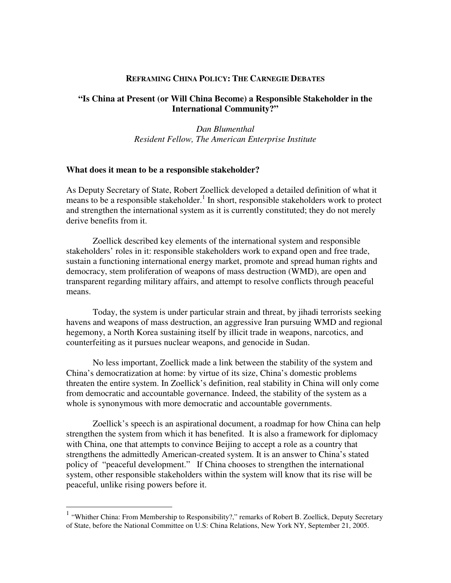### **REFRAMING CHINA POLICY: THE CARNEGIE DEBATES**

# **"Is China at Present (or Will China Become) a Responsible Stakeholder in the International Community?"**

*Dan Blumenthal Resident Fellow, The American Enterprise Institute*

#### **What does it mean to be a responsible stakeholder?**

As Deputy Secretary of State, Robert Zoellick developed a detailed definition of what it means to be a responsible stakeholder. 1 In short, responsible stakeholders work to protect and strengthen the international system as it is currently constituted; they do not merely derive benefits from it.

Zoellick described key elements of the international system and responsible stakeholders' roles in it: responsible stakeholders work to expand open and free trade, sustain a functioning international energy market, promote and spread human rights and democracy, stem proliferation of weapons of mass destruction (WMD), are open and transparent regarding military affairs, and attempt to resolve conflicts through peaceful means.

Today, the system is under particular strain and threat, by jihadi terrorists seeking havens and weapons of mass destruction, an aggressive Iran pursuing WMD and regional hegemony, a North Korea sustaining itself by illicit trade in weapons, narcotics, and counterfeiting as it pursues nuclear weapons, and genocide in Sudan.

No less important, Zoellick made a link between the stability of the system and China's democratization at home: by virtue of its size, China's domestic problems threaten the entire system. In Zoellick's definition, real stability in China will only come from democratic and accountable governance. Indeed, the stability of the system as a whole is synonymous with more democratic and accountable governments.

Zoellick's speech is an aspirational document, a roadmap for how China can help strengthen the system from which it has benefited. It is also a framework for diplomacy with China, one that attempts to convince Beijing to accept a role as a country that strengthens the admittedly American-created system. It is an answer to China's stated policy of "peaceful development." If China chooses to strengthen the international system, other responsible stakeholders within the system will know that its rise will be peaceful, unlike rising powers before it.

<sup>&</sup>lt;sup>1</sup> "Whither China: From Membership to Responsibility?," remarks of Robert B. Zoellick, Deputy Secretary of State, before the National Committee on U.S: China Relations, New York NY, September 21, 2005.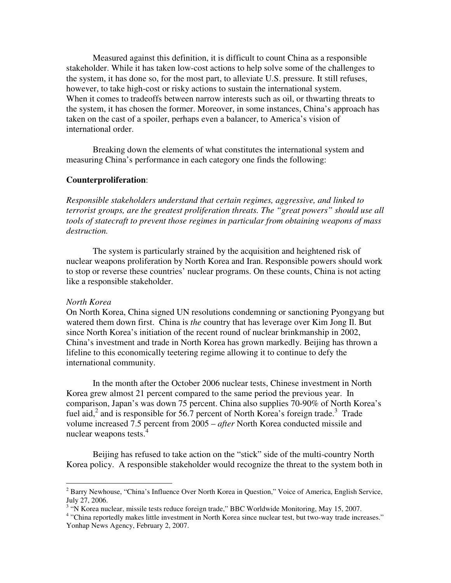Measured against this definition, it is difficult to count China as a responsible stakeholder. While it has taken low-cost actions to help solve some of the challenges to the system, it has done so, for the most part, to alleviate U.S. pressure. It still refuses, however, to take high-cost or risky actions to sustain the international system. When it comes to tradeoffs between narrow interests such as oil, or thwarting threats to the system, it has chosen the former. Moreover, in some instances, China's approach has taken on the cast of a spoiler, perhaps even a balancer, to America's vision of international order.

Breaking down the elements of what constitutes the international system and measuring China's performance in each category one finds the following:

## **Counterproliferation**:

*Responsible stakeholders understand that certain regimes, aggressive, and linked to terrorist groups, are the greatest proliferation threats. The "great powers" should use all tools of statecraft to prevent those regimes in particular from obtaining weapons of mass destruction.*

The system is particularly strained by the acquisition and heightened risk of nuclear weapons proliferation by North Korea and Iran. Responsible powers should work to stop or reverse these countries' nuclear programs. On these counts, China is not acting like a responsible stakeholder.

#### *North Korea*

On North Korea, China signed UN resolutions condemning or sanctioning Pyongyang but watered them down first. China is *the* country that has leverage over Kim Jong Il. But since North Korea's initiation of the recent round of nuclear brinkmanship in 2002, China's investment and trade in North Korea has grown markedly. Beijing has thrown a lifeline to this economically teetering regime allowing it to continue to defy the international community.

In the month after the October 2006 nuclear tests, Chinese investment in North Korea grew almost 21 percent compared to the same period the previous year. In comparison, Japan's was down 75 percent. China also supplies 70-90% of North Korea's fuel aid,<sup>2</sup> and is responsible for 56.7 percent of North Korea's foreign trade.<sup>3</sup> Trade volume increased 7.5 percent from 2005 – *after* North Korea conducted missile and nuclear weapons tests.<sup>4</sup>

Beijing has refused to take action on the "stick" side of the multi-country North Korea policy. A responsible stakeholder would recognize the threat to the system both in

<sup>2</sup> Barry Newhouse, "China's Influence Over North Korea in Question," Voice of America, English Service, July 27, 2006.

<sup>&</sup>lt;sup>3</sup> "N Korea nuclear, missile tests reduce foreign trade," BBC Worldwide Monitoring, May 15, 2007.

<sup>&</sup>lt;sup>4</sup> "China reportedly makes little investment in North Korea since nuclear test, but two-way trade increases." Yonhap News Agency, February 2, 2007.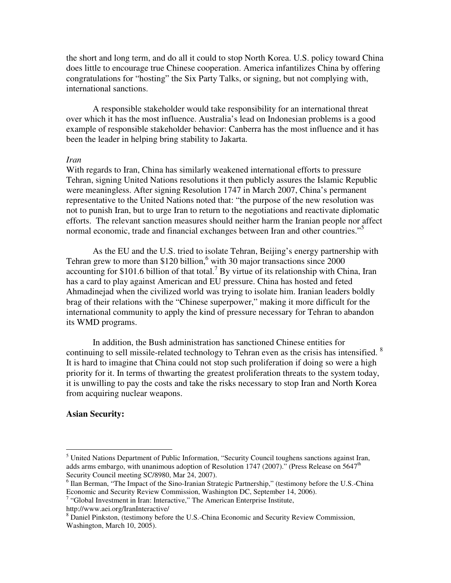the short and long term, and do all it could to stop North Korea. U.S. policy toward China does little to encourage true Chinese cooperation. America infantilizes China by offering congratulations for "hosting" the Six Party Talks, or signing, but not complying with, international sanctions.

A responsible stakeholder would take responsibility for an international threat over which it has the most influence. Australia's lead on Indonesian problems is a good example of responsible stakeholder behavior: Canberra has the most influence and it has been the leader in helping bring stability to Jakarta.

#### *Iran*

With regards to Iran, China has similarly weakened international efforts to pressure Tehran, signing United Nations resolutions it then publicly assures the Islamic Republic were meaningless. After signing Resolution 1747 in March 2007, China's permanent representative to the United Nations noted that: "the purpose of the new resolution was not to punish Iran, but to urge Iran to return to the negotiations and reactivate diplomatic efforts. The relevant sanction measures should neither harm the Iranian people nor affect normal economic, trade and financial exchanges between Iran and other countries."<sup>5</sup>

As the EU and the U.S. tried to isolate Tehran, Beijing's energy partnership with Tehran grew to more than \$120 billion,<sup>6</sup> with 30 major transactions since 2000 accounting for \$101.6 billion of that total.<sup>7</sup> By virtue of its relationship with China, Iran has a card to play against American and EU pressure. China has hosted and feted Ahmadinejad when the civilized world was trying to isolate him. Iranian leaders boldly brag of their relations with the "Chinese superpower," making it more difficult for the international community to apply the kind of pressure necessary for Tehran to abandon its WMD programs.

In addition, the Bush administration has sanctioned Chinese entities for continuing to sell missile-related technology to Tehran even as the crisis has intensified.  $8$ It is hard to imagine that China could not stop such proliferation if doing so were a high priority for it. In terms of thwarting the greatest proliferation threats to the system today, it is unwilling to pay the costs and take the risks necessary to stop Iran and North Korea from acquiring nuclear weapons.

#### **Asian Security:**

 $<sup>5</sup>$  United Nations Department of Public Information, "Security Council toughens sanctions against Iran,</sup> adds arms embargo, with unanimous adoption of Resolution 1747 (2007)." (Press Release on 5647<sup>th</sup> Security Council meeting SC/8980, Mar 24, 2007).

<sup>&</sup>lt;sup>6</sup> Ilan Berman, "The Impact of the Sino-Iranian Strategic Partnership," (testimony before the U.S.-China Economic and Security Review Commission, Washington DC, September 14, 2006).

 $7$  "Global Investment in Iran: Interactive," The American Enterprise Institute,

http://www.aei.org/IranInteractive/

<sup>&</sup>lt;sup>8</sup> Daniel Pinkston, (testimony before the U.S.-China Economic and Security Review Commission, Washington, March 10, 2005).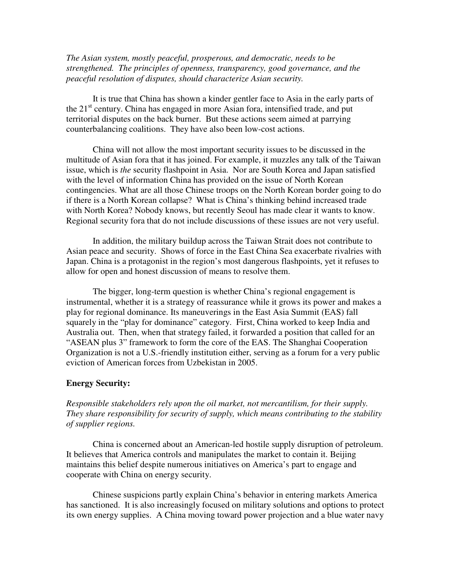*The Asian system, mostly peaceful, prosperous, and democratic, needs to be strengthened. The principles of openness, transparency, good governance, and the peaceful resolution of disputes, should characterize Asian security.*

It is true that China has shown a kinder gentler face to Asia in the early parts of the 21<sup>st</sup> century. China has engaged in more Asian fora, intensified trade, and put territorial disputes on the back burner. But these actions seem aimed at parrying counterbalancing coalitions. They have also been low-cost actions.

China will not allow the most important security issues to be discussed in the multitude of Asian fora that it has joined. For example, it muzzles any talk of the Taiwan issue, which is *the* security flashpoint in Asia. Nor are South Korea and Japan satisfied with the level of information China has provided on the issue of North Korean contingencies. What are all those Chinese troops on the North Korean border going to do if there is a North Korean collapse? What is China's thinking behind increased trade with North Korea? Nobody knows, but recently Seoul has made clear it wants to know. Regional security fora that do not include discussions of these issues are not very useful.

In addition, the military buildup across the Taiwan Strait does not contribute to Asian peace and security. Shows of force in the East China Sea exacerbate rivalries with Japan. China is a protagonist in the region's most dangerous flashpoints, yet it refuses to allow for open and honest discussion of means to resolve them.

The bigger, long-term question is whether China's regional engagement is instrumental, whether it is a strategy of reassurance while it grows its power and makes a play for regional dominance. Its maneuverings in the East Asia Summit (EAS) fall squarely in the "play for dominance" category. First, China worked to keep India and Australia out. Then, when that strategy failed, it forwarded a position that called for an "ASEAN plus 3" framework to form the core of the EAS. The Shanghai Cooperation Organization is not a U.S.-friendly institution either, serving as a forum for a very public eviction of American forces from Uzbekistan in 2005.

### **Energy Security:**

*Responsible stakeholders rely upon the oil market, not mercantilism, for their supply. They share responsibility for security of supply, which means contributing to the stability of supplier regions.*

China is concerned about an American-led hostile supply disruption of petroleum. It believes that America controls and manipulates the market to contain it. Beijing maintains this belief despite numerous initiatives on America's part to engage and cooperate with China on energy security.

Chinese suspicions partly explain China's behavior in entering markets America has sanctioned. It is also increasingly focused on military solutions and options to protect its own energy supplies. A China moving toward power projection and a blue water navy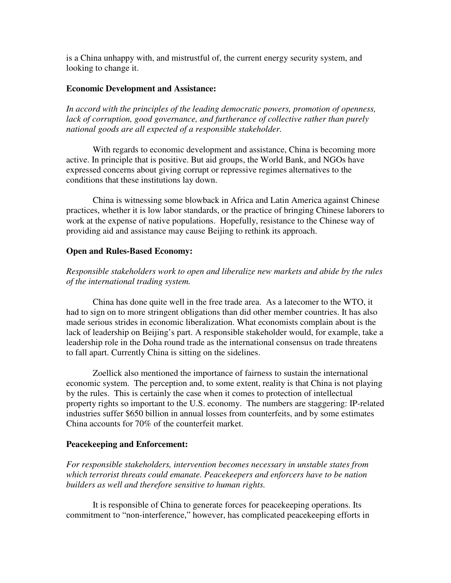is a China unhappy with, and mistrustful of, the current energy security system, and looking to change it.

# **Economic Development and Assistance:**

*In accord with the principles of the leading democratic powers, promotion of openness, lack of corruption, good governance, and furtherance of collective rather than purely national goods are all expected of a responsible stakeholder.*

With regards to economic development and assistance, China is becoming more active. In principle that is positive. But aid groups, the World Bank, and NGOs have expressed concerns about giving corrupt or repressive regimes alternatives to the conditions that these institutions lay down.

China is witnessing some blowback in Africa and Latin America against Chinese practices, whether it is low labor standards, or the practice of bringing Chinese laborers to work at the expense of native populations. Hopefully, resistance to the Chinese way of providing aid and assistance may cause Beijing to rethink its approach.

# **Open and Rules-Based Economy:**

*Responsible stakeholders work to open and liberalize new markets and abide by the rules of the international trading system.*

China has done quite well in the free trade area. As a latecomer to the WTO, it had to sign on to more stringent obligations than did other member countries. It has also made serious strides in economic liberalization. What economists complain about is the lack of leadership on Beijing's part. A responsible stakeholder would, for example, take a leadership role in the Doha round trade as the international consensus on trade threatens to fall apart. Currently China is sitting on the sidelines.

Zoellick also mentioned the importance of fairness to sustain the international economic system. The perception and, to some extent, reality is that China is not playing by the rules. This is certainly the case when it comes to protection of intellectual property rights so important to the U.S. economy. The numbers are staggering: IP-related industries suffer \$650 billion in annual losses from counterfeits, and by some estimates China accounts for 70% of the counterfeit market.

## **Peacekeeping and Enforcement:**

*For responsible stakeholders, intervention becomes necessary in unstable states from which terrorist threats could emanate. Peacekeepers and enforcers have to be nation builders as well and therefore sensitive to human rights.*

It is responsible of China to generate forces for peacekeeping operations. Its commitment to "non-interference," however, has complicated peacekeeping efforts in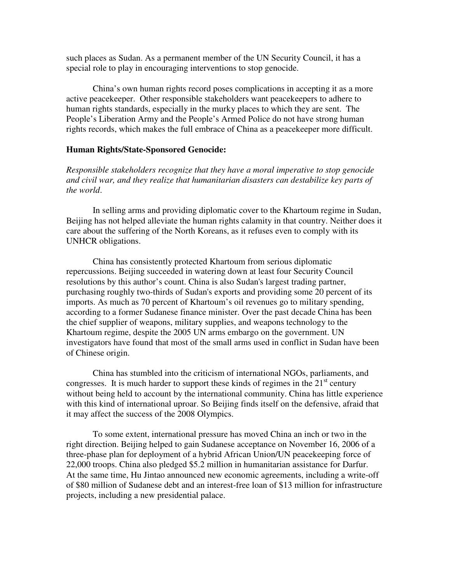such places as Sudan. As a permanent member of the UN Security Council, it has a special role to play in encouraging interventions to stop genocide.

China's own human rights record poses complications in accepting it as a more active peacekeeper. Other responsible stakeholders want peacekeepers to adhere to human rights standards, especially in the murky places to which they are sent. The People's Liberation Army and the People's Armed Police do not have strong human rights records, which makes the full embrace of China as a peacekeeper more difficult.

## **Human Rights/State-Sponsored Genocide:**

*Responsible stakeholders recognize that they have a moral imperative to stop genocide and civil war, and they realize that humanitarian disasters can destabilize key parts of the world*.

In selling arms and providing diplomatic cover to the Khartoum regime in Sudan, Beijing has not helped alleviate the human rights calamity in that country. Neither does it care about the suffering of the North Koreans, as it refuses even to comply with its UNHCR obligations.

China has consistently protected Khartoum from serious diplomatic repercussions. Beijing succeeded in watering down at least four Security Council resolutions by this author's count. China is also Sudan's largest trading partner, purchasing roughly two-thirds of Sudan's exports and providing some 20 percent of its imports. As much as 70 percent of Khartoum's oil revenues go to military spending, according to a former Sudanese finance minister. Over the past decade China has been the chief supplier of weapons, military supplies, and weapons technology to the Khartoum regime, despite the 2005 UN arms embargo on the government. UN investigators have found that most of the small arms used in conflict in Sudan have been of Chinese origin.

China has stumbled into the criticism of international NGOs, parliaments, and congresses. It is much harder to support these kinds of regimes in the  $21<sup>st</sup>$  century without being held to account by the international community. China has little experience with this kind of international uproar. So Beijing finds itself on the defensive, afraid that it may affect the success of the 2008 Olympics.

To some extent, international pressure has moved China an inch or two in the right direction. Beijing helped to gain Sudanese acceptance on November 16, 2006 of a three-phase plan for deployment of a hybrid African Union/UN peacekeeping force of 22,000 troops. China also pledged \$5.2 million in humanitarian assistance for Darfur. At the same time, Hu Jintao announced new economic agreements, including a write-off of \$80 million of Sudanese debt and an interest-free loan of \$13 million for infrastructure projects, including a new presidential palace.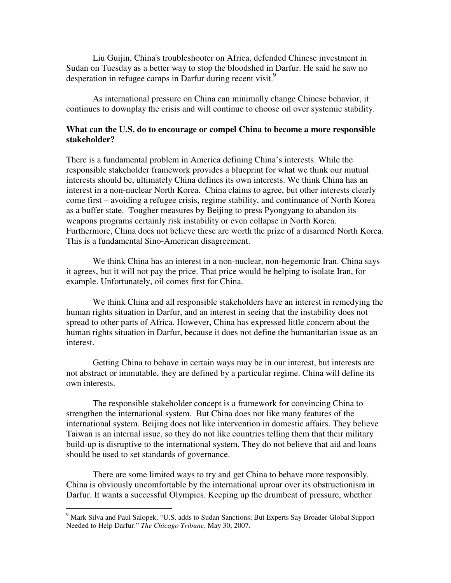Liu Guijin, China's troubleshooter on Africa, defended Chinese investment in Sudan on Tuesday as a better way to stop the bloodshed in Darfur. He said he saw no desperation in refugee camps in Darfur during recent visit.<sup>9</sup>

As international pressure on China can minimally change Chinese behavior, it continues to downplay the crisis and will continue to choose oil over systemic stability.

# **What can the U.S. do to encourage or compel China to become a more responsible stakeholder?**

There is a fundamental problem in America defining China's interests. While the responsible stakeholder framework provides a blueprint for what we think our mutual interests should be, ultimately China defines its own interests. We think China has an interest in a non-nuclear North Korea. China claims to agree, but other interests clearly come first – avoiding a refugee crisis, regime stability, and continuance of North Korea as a buffer state. Tougher measures by Beijing to press Pyongyang to abandon its weapons programs certainly risk instability or even collapse in North Korea. Furthermore, China does not believe these are worth the prize of a disarmed North Korea. This is a fundamental Sino-American disagreement.

We think China has an interest in a non-nuclear, non-hegemonic Iran. China says it agrees, but it will not pay the price. That price would be helping to isolate Iran, for example. Unfortunately, oil comes first for China.

We think China and all responsible stakeholders have an interest in remedying the human rights situation in Darfur, and an interest in seeing that the instability does not spread to other parts of Africa. However, China has expressed little concern about the human rights situation in Darfur, because it does not define the humanitarian issue as an interest.

Getting China to behave in certain ways may be in our interest, but interests are not abstract or immutable, they are defined by a particular regime. China will define its own interests.

The responsible stakeholder concept is a framework for convincing China to strengthen the international system. But China does not like many features of the international system. Beijing does not like intervention in domestic affairs. They believe Taiwan is an internal issue, so they do not like countries telling them that their military build-up is disruptive to the international system. They do not believe that aid and loans should be used to set standards of governance.

There are some limited ways to try and get China to behave more responsibly. China is obviously uncomfortable by the international uproar over its obstructionism in Darfur. It wants a successful Olympics. Keeping up the drumbeat of pressure, whether

<sup>&</sup>lt;sup>9</sup> Mark Silva and Paul Salopek, "U.S. adds to Sudan Sanctions; But Experts Say Broader Global Support Needed to Help Darfur." *The Chicago Tribune*, May 30, 2007.